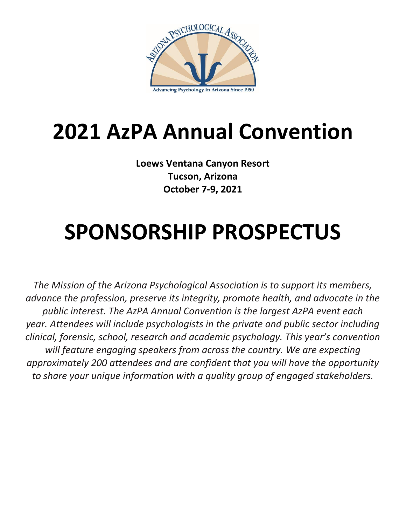

# **2021 AzPA Annual Convention**

**Loews Ventana Canyon Resort Tucson, Arizona October 7-9, 2021**

# **SPONSORSHIP PROSPECTUS**

*The Mission of the Arizona Psychological Association is to support its members, advance the profession, preserve its integrity, promote health, and advocate in the public interest. The AzPA Annual Convention is the largest AzPA event each year. Attendees will include psychologists in the private and public sector including clinical, forensic, school, research and academic psychology. This year's convention will feature engaging speakers from across the country. We are expecting approximately 200 attendees and are confident that you will have the opportunity to share your unique information with a quality group of engaged stakeholders.*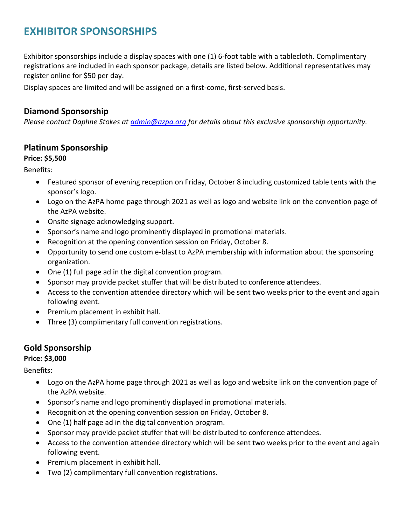# **EXHIBITOR SPONSORSHIPS**

Exhibitor sponsorships include a display spaces with one (1) 6-foot table with a tablecloth. Complimentary registrations are included in each sponsor package, details are listed below. Additional representatives may register online for \$50 per day.

Display spaces are limited and will be assigned on a first-come, first-served basis.

# **Diamond Sponsorship**

*Please contact Daphne Stokes at [admin@azpa.org](mailto:admin@azpa.org) for details about this exclusive sponsorship opportunity.* 

## **Platinum Sponsorship**

#### **Price: \$5,500**

Benefits:

- Featured sponsor of evening reception on Friday, October 8 including customized table tents with the sponsor's logo.
- Logo on the AzPA home page through 2021 as well as logo and website link on the convention page of the AzPA website.
- Onsite signage acknowledging support.
- Sponsor's name and logo prominently displayed in promotional materials.
- Recognition at the opening convention session on Friday, October 8.
- Opportunity to send one custom e-blast to AzPA membership with information about the sponsoring organization.
- One (1) full page ad in the digital convention program.
- Sponsor may provide packet stuffer that will be distributed to conference attendees.
- Access to the convention attendee directory which will be sent two weeks prior to the event and again following event.
- Premium placement in exhibit hall.
- Three (3) complimentary full convention registrations.

# **Gold Sponsorship**

#### **Price: \$3,000**

Benefits:

- Logo on the AzPA home page through 2021 as well as logo and website link on the convention page of the AzPA website.
- Sponsor's name and logo prominently displayed in promotional materials.
- Recognition at the opening convention session on Friday, October 8.
- One (1) half page ad in the digital convention program.
- Sponsor may provide packet stuffer that will be distributed to conference attendees.
- Access to the convention attendee directory which will be sent two weeks prior to the event and again following event.
- Premium placement in exhibit hall.
- Two (2) complimentary full convention registrations.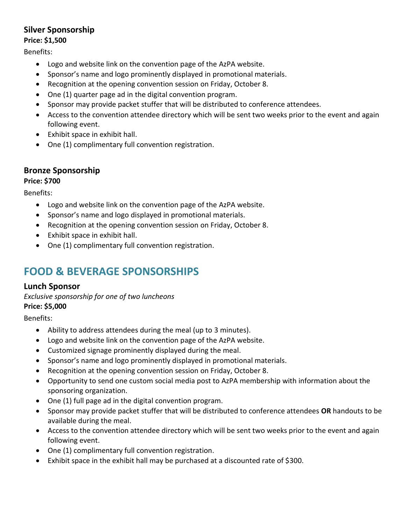# **Silver Sponsorship**

#### **Price: \$1,500**

Benefits:

- Logo and website link on the convention page of the AzPA website.
- Sponsor's name and logo prominently displayed in promotional materials.
- Recognition at the opening convention session on Friday, October 8.
- One (1) quarter page ad in the digital convention program.
- Sponsor may provide packet stuffer that will be distributed to conference attendees.
- Access to the convention attendee directory which will be sent two weeks prior to the event and again following event.
- Exhibit space in exhibit hall.
- One (1) complimentary full convention registration.

## **Bronze Sponsorship**

#### **Price: \$700**

Benefits:

- Logo and website link on the convention page of the AzPA website.
- Sponsor's name and logo displayed in promotional materials.
- Recognition at the opening convention session on Friday, October 8.
- Exhibit space in exhibit hall.
- One (1) complimentary full convention registration.

# **FOOD & BEVERAGE SPONSORSHIPS**

## **Lunch Sponsor**

*Exclusive sponsorship for one of two luncheons* **Price: \$5,000**

Benefits:

- Ability to address attendees during the meal (up to 3 minutes).
- Logo and website link on the convention page of the AzPA website.
- Customized signage prominently displayed during the meal.
- Sponsor's name and logo prominently displayed in promotional materials.
- Recognition at the opening convention session on Friday, October 8.
- Opportunity to send one custom social media post to AzPA membership with information about the sponsoring organization.
- One (1) full page ad in the digital convention program.
- Sponsor may provide packet stuffer that will be distributed to conference attendees **OR** handouts to be available during the meal.
- Access to the convention attendee directory which will be sent two weeks prior to the event and again following event.
- One (1) complimentary full convention registration.
- Exhibit space in the exhibit hall may be purchased at a discounted rate of \$300.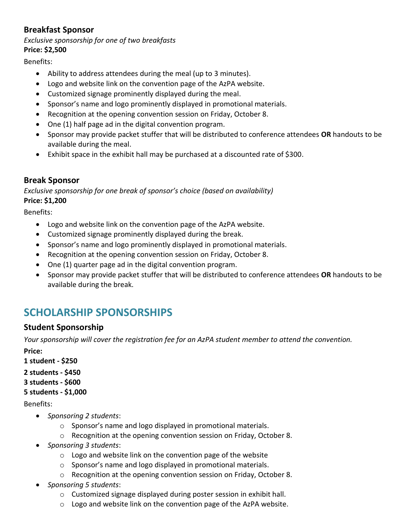# **Breakfast Sponsor**

#### *Exclusive sponsorship for one of two breakfasts* **Price: \$2,500**

Benefits:

- Ability to address attendees during the meal (up to 3 minutes).
- Logo and website link on the convention page of the AzPA website.
- Customized signage prominently displayed during the meal.
- Sponsor's name and logo prominently displayed in promotional materials.
- Recognition at the opening convention session on Friday, October 8.
- One (1) half page ad in the digital convention program.
- Sponsor may provide packet stuffer that will be distributed to conference attendees **OR** handouts to be available during the meal.
- Exhibit space in the exhibit hall may be purchased at a discounted rate of \$300.

## **Break Sponsor**

*Exclusive sponsorship for one break of sponsor's choice (based on availability)*  **Price: \$1,200**

Benefits:

- Logo and website link on the convention page of the AzPA website.
- Customized signage prominently displayed during the break.
- Sponsor's name and logo prominently displayed in promotional materials.
- Recognition at the opening convention session on Friday, October 8.
- One (1) quarter page ad in the digital convention program.
- Sponsor may provide packet stuffer that will be distributed to conference attendees **OR** handouts to be available during the break.

# **SCHOLARSHIP SPONSORSHIPS**

## **Student Sponsorship**

*Your sponsorship will cover the registration fee for an AzPA student member to attend the convention.*

**Price:** 

**1 student - \$250**

**2 students - \$450**

**3 students - \$600**

**5 students - \$1,000**

Benefits:

- *Sponsoring 2 students*:
	- o Sponsor's name and logo displayed in promotional materials.
	- o Recognition at the opening convention session on Friday, October 8.
- *Sponsoring 3 students*:
	- o Logo and website link on the convention page of the website
	- o Sponsor's name and logo displayed in promotional materials.
	- o Recognition at the opening convention session on Friday, October 8.
- *Sponsoring 5 students*:
	- o Customized signage displayed during poster session in exhibit hall.
	- $\circ$  Logo and website link on the convention page of the AzPA website.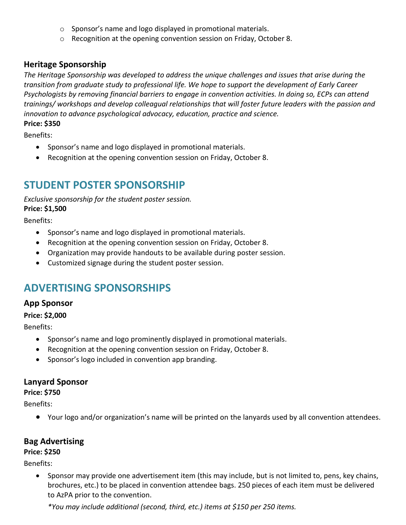- o Sponsor's name and logo displayed in promotional materials.
- o Recognition at the opening convention session on Friday, October 8.

## **Heritage Sponsorship**

*The Heritage Sponsorship was developed to address the unique challenges and issues that arise during the transition from graduate study to professional life. We hope to support the development of Early Career Psychologists by removing financial barriers to engage in convention activities. In doing so, ECPs can attend trainings/ workshops and develop colleagual relationships that will foster future leaders with the passion and innovation to advance psychological advocacy, education, practice and science.* **Price: \$350**

Benefits:

- Sponsor's name and logo displayed in promotional materials.
- Recognition at the opening convention session on Friday, October 8.

# **STUDENT POSTER SPONSORSHIP**

*Exclusive sponsorship for the student poster session.*  **Price: \$1,500**

Benefits:

- Sponsor's name and logo displayed in promotional materials.
- Recognition at the opening convention session on Friday, October 8.
- Organization may provide handouts to be available during poster session.
- Customized signage during the student poster session.

# **ADVERTISING SPONSORSHIPS**

#### **App Sponsor**

**Price: \$2,000**

Benefits:

- Sponsor's name and logo prominently displayed in promotional materials.
- Recognition at the opening convention session on Friday, October 8.
- Sponsor's logo included in convention app branding.

#### **Lanyard Sponsor**

**Price: \$750**

Benefits:

Your logo and/or organization's name will be printed on the lanyards used by all convention attendees.

## **Bag Advertising**

#### **Price: \$250**

Benefits:

 Sponsor may provide one advertisement item (this may include, but is not limited to, pens, key chains, brochures, etc.) to be placed in convention attendee bags. 250 pieces of each item must be delivered to AzPA prior to the convention.

*\*You may include additional (second, third, etc.) items at \$150 per 250 items.*